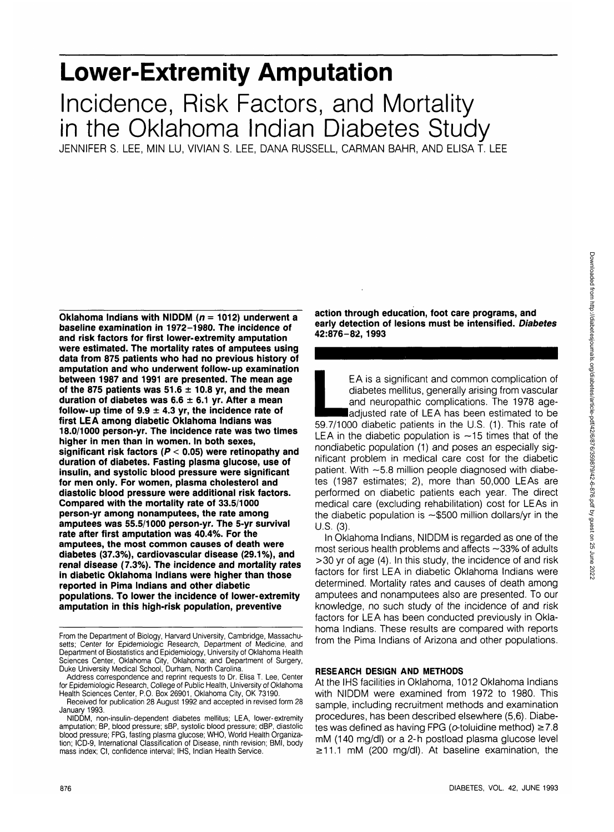# **Lower-Extremity Amputation**

Incidence, Risk Factors, and Mortality in the Oklahoma Indian Diabetes Study JENNIFER S. LEE, MIN LU, VIVIAN S. LEE, DANA RUSSELL, CARMAN BAHR, AND ELISA T. LEE

Oklahoma Indians with NIDDM  $(n = 1012)$  underwent a **baseline examination in 1972-1980. The incidence of and risk factors for first lower-extremity amputation were estimated. The mortality rates of amputees using data from 875 patients who had no previous history of amputation and who underwent follow-up examination between 1987 and 1991 are presented. The mean age** of the 875 patients was  $51.6 \pm 10.8$  yr, and the mean **duration of diabetes was 6.6 ± 6.1 yr. After a mean** follow-up time of  $9.9 \pm 4.3$  yr, the incidence rate of **first LEA among diabetic Oklahoma Indians was 18.0/1000 person-yr. The incidence rate was two times higher in men than in women. In both sexes, significant risk factors (P < 0.05) were retinopathy and duration of diabetes. Fasting plasma glucose, use of insulin, and systolic blood pressure were significant for men only. For women, plasma cholesterol and diastolic blood pressure were additional risk factors. Compared with the mortality rate of 33.5/1000 person-yr among nonamputees, the rate among amputees was 55.5/1000 person-yr. The 5-yr survival rate after first amputation was 40.4%. For the amputees, the most common causes of death were diabetes (37.3%), cardiovascular disease (29.1%), and renal disease (7.3%). The incidence and mortality rates in diabetic Oklahoma Indians were higher than those reported in Pima Indians and other diabetic populations. To lower the incidence of lower-extremity amputation in this high-risk population, preventive**

**action through education, foot care programs, and early detection of lesions must be intensified. Diabetes 42:876-82, 1993**

EA is a significant and common complication of<br>diabetes mellitus, generally arising from vascular<br>and neuropathic complications. The 1978 age-<br>adjusted rate of LEA has been estimated to be<br>59.7/1000 diabetic patients in th diabetes mellitus, generally arising from vascular and neuropathic complications. The 1978 ageadjusted rate of LEA has been estimated to be LEA in the diabetic population is  $\sim$  15 times that of the nondiabetic population (1) and poses an especially significant problem in medical care cost for the diabetic patient. With —5.8 million people diagnosed with diabetes (1987 estimates; 2), more than 50,000 LEAs are performed on diabetic patients each year. The direct medical care (excluding rehabilitation) cost for LEAs in the diabetic population is  $-$ \$500 million dollars/yr in the U.S. (3).

In Oklahoma Indians, NIDDM is regarded as one of the most serious health problems and affects  $\sim$ 33% of adults >30 yr of age (4). In this study, the incidence of and risk factors for first LEA in diabetic Oklahoma Indians were determined. Mortality rates and causes of death among amputees and nonamputees also are presented. To our knowledge, no such study of the incidence of and risk factors for LEA has been conducted previously in Oklahoma Indians. These results are compared with reports from the Pima Indians of Arizona and other populations.

## **RESEARCH DESIGN AND METHODS**

At the IHS facilities in Oklahoma, 1012 Oklahoma Indians with NIDDM were examined from 1972 to 1980. This sample, including recruitment methods and examination procedures, has been described elsewhere (5,6). Diabetes was defined as having FPG ( $o$ -toluidine method)  $\geq 7.8$ mM (140 mg/dl) or a 2-h postload plasma glucose level  $\geq$ 11.1 mM (200 mg/dl). At baseline examination, the

From the Department of Biology, Harvard University, Cambridge, Massachusetts; Center for Epidemiologic Research, Department of Medicine, and Department of Biostatistics and Epidemiology, University of Oklahoma Health Sciences Center, Oklahoma City, Oklahoma; and Department of Surgery, Duke University Medical School, Durham, North Carolina.

Address correspondence and reprint requests to Dr. Elisa T. Lee, Center for Epidemiologic Research, College of Public Health, University of Oklahoma Health Sciences Center, P.O. Box 26901, Oklahoma City, OK 73190.

Received for publication 28 August 1992 and accepted in revised form 28 January 1993.

NIDDM, non-insulin-dependent diabetes mellitus; LEA, lower-extremity amputation; BP, blood pressure; sBP, systolic blood pressure; dBP, diastolic blood pressure; FPG, fasting plasma glucose; WHO, World Health Organization; ICD-9, International Classification of Disease, ninth revision; BMI, body mass index; Cl, confidence interval; IHS, Indian Health Service.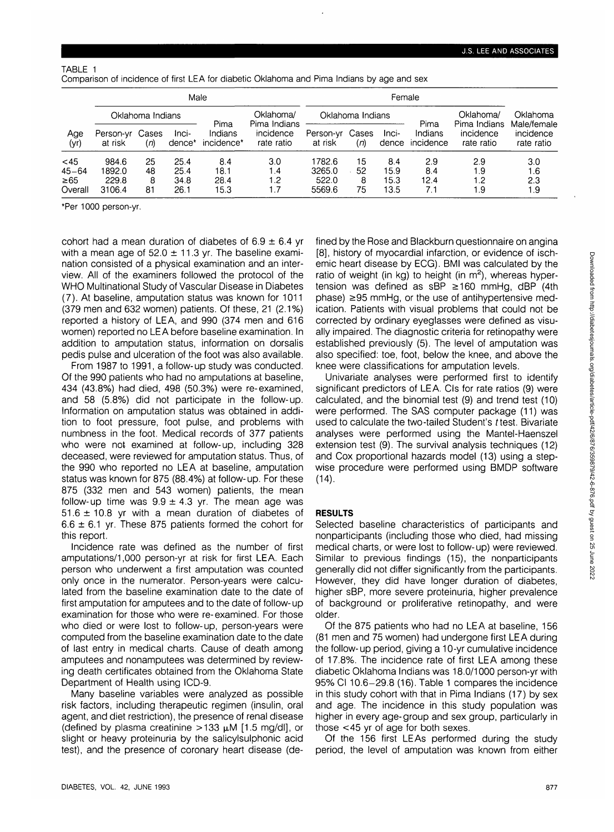## TABLE 1

Comparison of incidence of first LEA for diabetic Oklahoma and Pima Indians by age and sex

|                                          |                                    |                     | Male                         |                               |                           | Female                              |                     |                             |                              |                                         | Oklahoma<br>Male/female  |
|------------------------------------------|------------------------------------|---------------------|------------------------------|-------------------------------|---------------------------|-------------------------------------|---------------------|-----------------------------|------------------------------|-----------------------------------------|--------------------------|
| Age<br>(yr)                              | Oklahoma Indians                   |                     |                              |                               | Oklahoma/<br>Pima Indians | Oklahoma Indians                    |                     |                             |                              | Oklahoma/                               |                          |
|                                          | Person-yr Cases<br>at risk         | (n)                 | Inci-<br>dence <sup>*</sup>  | Pima<br>Indians<br>incidence* | incidence<br>rate ratio   | Person-yr<br>at risk                | Cases<br>(n)        | Inci-<br>dence              | Pima<br>Indians<br>incidence | Pima Indians<br>incidence<br>rate ratio | incidence<br>rate ratio  |
| <45<br>$45 - 64$<br>$\geq 65$<br>Overall | 984.6<br>1892.0<br>229.8<br>3106.4 | 25<br>48<br>8<br>81 | 25.4<br>25.4<br>34.8<br>26.1 | 8.4<br>18.1<br>28.4<br>15.3   | 3.0<br>1.4<br>1.2         | 1782.6<br>3265.0<br>522.0<br>5569.6 | 15<br>52<br>8<br>75 | 8.4<br>15.9<br>15.3<br>13.5 | 2.9<br>8.4<br>12.4<br>7.1    | 2.9<br>1.9<br>1.2<br>1.9                | 3.0<br>1.6<br>2.3<br>1.9 |

\*Per 1000 person-yr.

cohort had a mean duration of diabetes of  $6.9 \pm 6.4$  yr with a mean age of 52.0  $\pm$  11.3 yr. The baseline examination consisted of a physical examination and an interview. All of the examiners followed the protocol of the WHO Multinational Study of Vascular Disease in Diabetes (7). At baseline, amputation status was known for 1011 (379 men and 632 women) patients. Of these, 21 (2.1%) reported a history of LEA, and 990 (374 men and 616 women) reported no LEA before baseline examination. In addition to amputation status, information on dorsalis pedis pulse and ulceration of the foot was also available.

From 1987 to 1991, a follow-up study was conducted. Of the 990 patients who had no amputations at baseline, 434 (43.8%) had died, 498 (50.3%) were re-examined, and 58 (5.8%) did not participate in the follow-up. Information on amputation status was obtained in addition to foot pressure, foot pulse, and problems with numbness in the foot. Medical records of 377 patients who were not examined at follow-up, including 328 deceased, were reviewed for amputation status. Thus, of the 990 who reported no LEA at baseline, amputation status was known for 875 (88.4%) at follow-up. For these 875 (332 men and 543 women) patients, the mean follow-up time was  $9.9 \pm 4.3$  yr. The mean age was  $51.6 \pm 10.8$  yr with a mean duration of diabetes of 6.6  $\pm$  6.1 yr. These 875 patients formed the cohort for this report.

Incidence rate was defined as the number of first amputations/1,000 person-yr at risk for first LEA. Each person who underwent a first amputation was counted only once in the numerator. Person-years were calculated from the baseline examination date to the date of first amputation for amputees and to the date of follow-up examination for those who were re-examined. For those who died or were lost to follow-up, person-years were computed from the baseline examination date to the date of last entry in medical charts. Cause of death among amputees and nonamputees was determined by reviewing death certificates obtained from the Oklahoma State Department of Health using ICD-9.

Many baseline variables were analyzed as possible risk factors, including therapeutic regimen (insulin, oral agent, and diet restriction), the presence of renal disease (defined by plasma creatinine >133  $\mu$ M [1.5 mg/dl], or slight or heavy proteinuria by the salicylsulphonic acid test), and the presence of coronary heart disease (defined by the Rose and Blackburn questionnaire on angina [8], history of myocardial infarction, or evidence of ischemic heart disease by ECG). BMI was calculated by the ratio of weight (in kg) to height (in m<sup>2</sup>), whereas hypertension was defined as  $sBP \geq 160$  mmHg, dBP (4th  $phase) \geq 95$  mmHg, or the use of antihypertensive medication. Patients with visual problems that could not be corrected by ordinary eyeglasses were defined as visually impaired. The diagnostic criteria for retinopathy were established previously (5). The level of amputation was also specified: toe, foot, below the knee, and above the knee were classifications for amputation levels.

Univariate analyses were performed first to identify significant predictors of LEA. CIs for rate ratios (9) were calculated, and the binomial test (9) and trend test (10) were performed. The SAS computer package (11) was used to calculate the two-tailed Student's t test. Bivariate analyses were performed using the Mantel-Haenszel extension test (9). The survival analysis techniques (12) and Cox proportional hazards model (13) using a stepwise procedure were performed using BMDP software  $(14)$ .

## **RESULTS**

Selected baseline characteristics of participants and nonparticipants (including those who died, had missing medical charts, or were lost to follow-up) were reviewed. Similar to previous findings (15), the nonparticipants generally did not differ significantly from the participants. However, they did have longer duration of diabetes, higher sBP, more severe proteinuria, higher prevalence of background or proliferative retinopathy, and were older.

Of the 875 patients who had no LEA at baseline, 156 (81 men and 75 women) had undergone first LEA during the follow- up period, giving a 10-yr cumulative incidence of 17.8%. The incidence rate of first LEA among these diabetic Oklahoma Indians was 18.0/1000 person-yr with 95% Cl 10.6-29.8 (16). Table 1 compares the incidence in this study cohort with that in Pima Indians (17) by sex and age. The incidence in this study population was higher in every age-group and sex group, particularly in those <45 yr of age for both sexes.

Of the 156 first LEAs performed during the study period, the level of amputation was known from either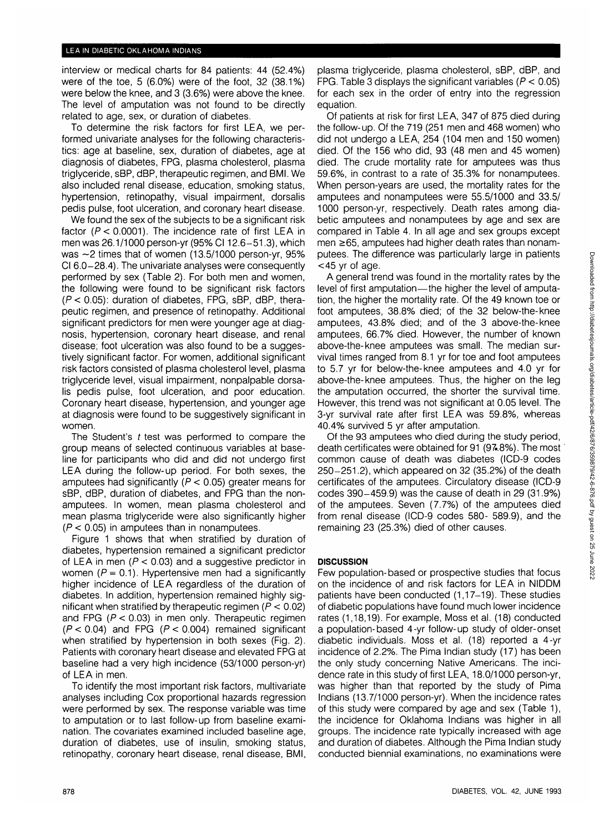interview or medical charts for 84 patients: 44 (52.4%) were of the toe, 5 (6.0%) were of the foot, 32 (38.1%) were below the knee, and 3 (3.6%) were above the knee. The level of amputation was not found to be directly related to age, sex, or duration of diabetes.

To determine the risk factors for first LEA, we performed univariate analyses for the following characteristics: age at baseline, sex, duration of diabetes, age at diagnosis of diabetes, FPG, plasma cholesterol, plasma triglyceride, sBP, dBP, therapeutic regimen, and BMI. We also included renal disease, education, smoking status, hypertension, retinopathy, visual impairment, dorsalis pedis pulse, foot ulceration, and coronary heart disease.

We found the sex of the subjects to be a significant risk factor ( $P < 0.0001$ ). The incidence rate of first LEA in men was 26.1/1000 person-yr (95% Cl 12.6-51.3), which was  $\sim$ 2 times that of women (13.5/1000 person-yr, 95%) Cl 6.0-28.4). The univariate analyses were consequently performed by sex (Table 2). For both men and women, the following were found to be significant risk factors  $(P < 0.05)$ : duration of diabetes, FPG, sBP, dBP, therapeutic regimen, and presence of retinopathy. Additional significant predictors for men were younger age at diagnosis, hypertension, coronary heart disease, and renal disease; foot ulceration was also found to be a suggestively significant factor. For women, additional significant risk factors consisted of plasma cholesterol level, plasma triglyceride level, visual impairment, nonpalpable dorsalis pedis pulse, foot ulceration, and poor education. Coronary heart disease, hypertension, and younger age at diagnosis were found to be suggestively significant in women.

The Student's  $t$  test was performed to compare the group means of selected continuous variables at baseline for participants who did and did not undergo first LEA during the follow-up period. For both sexes, the amputees had significantly ( $P < 0.05$ ) greater means for sBP, dBP, duration of diabetes, and FPG than the nonamputees. In women, mean plasma cholesterol and mean plasma triglyceride were also significantly higher  $(P < 0.05)$  in amputees than in nonamputees.

Figure 1 shows that when stratified by duration of diabetes, hypertension remained a significant predictor of LEA in men  $(P < 0.03)$  and a suggestive predictor in women ( $P = 0.1$ ). Hypertensive men had a significantly higher incidence of LEA regardless of the duration of diabetes. In addition, hypertension remained highly significant when stratified by the rapeutic regimen ( $P < 0.02$ ) and FPG ( $P < 0.03$ ) in men only. Therapeutic regimen  $(P < 0.04)$  and FPG  $(P < 0.004)$  remained significant when stratified by hypertension in both sexes (Fig. 2). Patients with coronary heart disease and elevated FPG at baseline had a very high incidence (53/1000 person-yr) of LEA in men.

To identify the most important risk factors, multivariate analyses including Cox proportional hazards regression were performed by sex. The response variable was time to amputation or to last follow-up from baseline examination. The covariates examined included baseline age, duration of diabetes, use of insulin, smoking status, retinopathy, coronary heart disease, renal disease, BMI,

plasma triglyceride, plasma cholesterol, sBP, dBP, and FPG. Table 3 displays the significant variables ( $P < 0.05$ ) for each sex in the order of entry into the regression equation.

Of patients at risk for first LEA, 347 of 875 died during the follow-up. Of the 719 (251 men and 468 women) who did not undergo a LEA, 254 (104 men and 150 women) died. Of the 156 who did, 93 (48 men and 45 women) died. The crude mortality rate for amputees was thus 59.6%, in contrast to a rate of 35.3% for nonamputees. When person-years are used, the mortality rates for the amputees and nonamputees were 55.5/1000 and 33.5/ 1000 person-yr, respectively. Death rates among diabetic amputees and nonamputees by age and sex are compared in Table 4. In all age and sex groups except men  $\geq$ 65, amputees had higher death rates than nonamputees. The difference was particularly large in patients  $<$  45 yr of age.

A general trend was found in the mortality rates by the level of first amputation—the higher the level of amputation, the higher the mortality rate. Of the 49 known toe or foot amputees, 38.8% died; of the 32 below-the-knee amputees, 43.8% died; and of the 3 above-the-knee amputees, 66.7% died. However, the number of known above-the-knee amputees was small. The median survival times ranged from 8.1 yr for toe and foot amputees to 5.7 yr for below-the-knee amputees and 4.0 yr for above-the-knee amputees. Thus, the higher on the leg the amputation occurred, the shorter the survival time. However, this trend was not significant at 0.05 level. The 3-yr survival rate after first LEA was 59.8%, whereas 40.4% survived 5 yr after amputation.

Of the 93 amputees who died during the study period, death certificates were obtained for 91 (97.8%). The most common cause of death was diabetes (ICD-9 codes 250-251.2), which appeared on 32 (35.2%) of the death certificates of the amputees. Circulatory disease (ICD-9 codes 390-459.9) was the cause of death in 29 (31.9%) of the amputees. Seven (7.7%) of the amputees died from renal disease (ICD-9 codes 580- 589.9), and the remaining 23 (25.3%) died of other causes.

## **DISCUSSION**

Few population-based or prospective studies that focus on the incidence of and risk factors for LEA in NIDDM patients have been conducted (1,17-19). These studies of diabetic populations have found much lower incidence rates (1,18,19). For example, Moss et al. (18) conducted a population-based 4-yr follow-up study of older-onset diabetic individuals. Moss et al. (18) reported a 4-yr incidence of 2.2%. The Pima Indian study (17) has been the only study concerning Native Americans. The incidence rate in this study of first LEA, 18.0/1000 person-yr, was higher than that reported by the study of Pima Indians (13.7/1000 person-yr). When the incidence rates of this study were compared by age and sex (Table 1), the incidence for Oklahoma Indians was higher in all groups. The incidence rate typically increased with age and duration of diabetes. Although the Pima Indian study conducted biennial examinations, no examinations were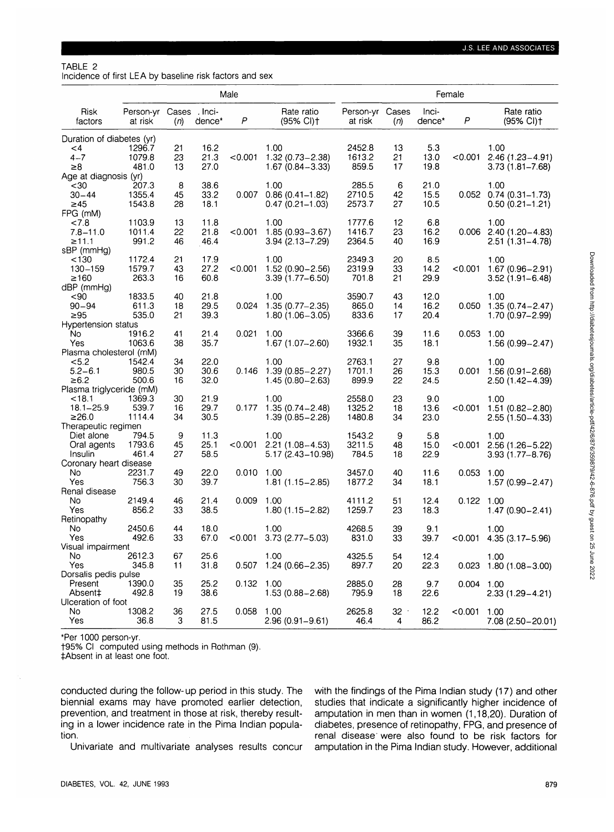#### TABLE 2

Incidence of first LEA by baseline risk factors and sex

| Male                             |                            |          |                   |              | Female                                    |                            |          |                 |              |                              |
|----------------------------------|----------------------------|----------|-------------------|--------------|-------------------------------------------|----------------------------|----------|-----------------|--------------|------------------------------|
| Risk<br>factors                  | Person-yr Cases<br>at risk | (n)      | . Inci-<br>dence* | P            | Rate ratio<br>$(95\% \text{ Cl})\uparrow$ | Person-yr Cases<br>at risk | (n)      | Inci-<br>dence* | P            | Rate ratio<br>$(95% Cl)$ †   |
| Duration of diabetes (yr)        |                            |          |                   |              |                                           |                            |          |                 |              |                              |
| <4                               | 1296.7                     | 21       | 16.2              |              | 1.00                                      | 2452.8                     | 13       | 5.3             |              | 1.00                         |
| $4 - 7$                          | 1079.8                     | 23       | 21.3              | < 0.001      | $1.32(0.73 - 2.38)$                       | 1613.2                     | 21       | 13.0            | < 0.001      | $2.46(1.23 - 4.91)$          |
| ≥8                               | 481.0                      | 13       | 27.0              |              | $1.67(0.84 - 3.33)$                       | 859.5                      | 17       | 19.8            |              | $3.73(1.81 - 7.68)$          |
| Age at diagnosis (yr)            |                            |          |                   |              |                                           |                            |          |                 |              |                              |
| <30                              | 207.3                      | 8        | 38.6              |              | 1.00                                      | 285.5                      | 6        | 21.0            |              | 1.00                         |
| $30 - 44$                        | 1355.4                     | 45       | 33.2              | 0.007        | $0.86(0.41 - 1.82)$                       | 2710.5                     | 42       | 15.5            | 0.052        | $0.74(0.31 - 1.73)$          |
| $\geq 45$                        | 1543.8                     | 28       | 18.1              |              | $0.47(0.21 - 1.03)$                       | 2573.7                     | 27       | 10.5            |              | $0.50(0.21 - 1.21)$          |
| FPG (mM)                         |                            |          |                   |              |                                           |                            |          |                 |              |                              |
| ${<}7.8$                         | 1103.9                     | 13       | 11.8              |              | 1.00                                      | 1777.6                     | 12       | 6.8             |              | 1.00                         |
| $7.8 - 11.0$                     | 1011.4                     | 22       | 21.8              | < 0.001      | $1.85(0.93 - 3.67)$                       | 1416.7                     | 23       | 16.2            | 0.006        | $2.40(1.20 - 4.83)$          |
| ≥11.1                            | 991.2                      | 46       | 46.4              |              | $3.94(2.13 - 7.29)$                       | 2364.5                     | 40       | 16.9            |              | $2.51(1.31 - 4.78)$          |
| sBP (mmHg)                       |                            |          |                   |              |                                           |                            |          |                 |              |                              |
| < 130                            | 1172.4                     | 21       | 17.9              |              | 1.00                                      | 2349.3                     | 20       | 8.5             |              | 1.00                         |
| 130-159                          | 1579.7                     | 43       | 27.2              | < 0.001      | $1.52(0.90 - 2.56)$                       | 2319.9                     | 33       | 14.2            | < 0.001      | 1.67 (0.96-2.91)             |
| ≥160                             | 263.3                      | 16       | 60.8              |              | $3.39(1.77 - 6.50)$                       | 701.8                      | 21       | 29.9            |              | $3.52(1.91 - 6.48)$          |
| dBP (mmHg)                       | 1833.5                     |          |                   |              |                                           |                            |          |                 |              |                              |
| $90$                             | 611.3                      | 40       | 21.8              | 0.024        | 1.00                                      | 3590.7                     | 43       | 12.0            |              | 1.00                         |
| $90 - 94$                        | 535.0                      | 18<br>21 | 29.5              |              | 1.35 (0.77-2.35)                          | 865.0                      | 14<br>17 | 16.2            | 0.050        | $1.35(0.74 - 2.47)$          |
| ≥95                              |                            |          | 39.3              |              | $1.80(1.06 - 3.05)$                       | 833.6                      |          | 20.4            |              | 1.70 (0.97–2.99)             |
| <b>Hypertension status</b><br>No | 1916.2                     | 41       | 21.4              | 0.021        | 1.00                                      | 3366.6                     | 39       | 11.6            | 0.053        | 1.00                         |
| Yes                              | 1063.6                     | 38       | 35.7              |              | $1.67(1.07 - 2.60)$                       | 1932.1                     | 35       | 18.1            |              | 1.56 (0.99-2.47)             |
| Plasma cholesterol (mM)          |                            |          |                   |              |                                           |                            |          |                 |              |                              |
| < 5.2                            | 1542.4                     | 34       | 22.0              |              | 1.00                                      | 2763.1                     | 27       | 9.8             |              | 1.00                         |
| $5.2 - 6.1$                      | 980.5                      | 30       | 30.6              | 0.146        | $1.39(0.85 - 2.27)$                       | 1701.1                     | 26       | 15.3            | 0.001        | $1.56(0.91 - 2.68)$          |
| $\geq 6.2$                       | 500.6                      | 16       | 32.0              |              | $1.45(0.80 - 2.63)$                       | 899.9                      | 22       | 24.5            |              | $2.50(1.42 - 4.39)$          |
| Plasma triglyceride (mM)         |                            |          |                   |              |                                           |                            |          |                 |              |                              |
| $<$ 18.1                         | 1369.3                     | 30       | 21.9              |              | 1.00                                      | 2558.0                     | 23       | 9.0             |              | 1.00                         |
| $18.1 - 25.9$                    | 539.7                      | 16       | 29.7              | 0.177        | $1.35(0.74 - 2.48)$                       | 1325.2                     | 18       | 13.6            | < 0.001      | $1.51(0.82 - 2.80)$          |
| ≥26.0                            | 1114.4                     | 34       | 30.5              |              | $1.39(0.85 - 2.28)$                       | 1480.8                     | 34       | 23.0            |              | $2.55(1.50 - 4.33)$          |
| Therapeutic regimen              |                            |          |                   |              |                                           |                            |          |                 |              |                              |
| Diet alone                       | 794.5                      | 9        | 11.3              |              | 1.00                                      | 1543.2                     | 9        | 5.8             |              | 1.00                         |
| Oral agents                      | 1793.6                     | 45       | 25.1              | < 0.001      | $2.21(1.08 - 4.53)$                       | 3211.5                     | 48       | 15.0            | < 0.001      | $2.56(1.26 - 5.22)$          |
| Insulin                          | 461.4                      | 27       | 58.5              |              | $5.17(2.43 - 10.98)$                      | 784.5                      | 18       | 22.9            |              | $3.93(1.77 - 8.76)$          |
| Coronary heart disease           |                            |          |                   |              |                                           |                            |          |                 |              |                              |
| No.                              | 2231.7                     | 49       | 22.0              | 0.010        | 1.00                                      | 3457.0                     | 40       | 11.6            | 0.053        | 1.00                         |
| Yes                              | 756.3                      | 30       | 39.7              |              | $1.81(1.15 - 2.85)$                       | 1877.2                     | 34       | 18.1            |              | $1.57(0.99 - 2.47)$          |
| Renal disease                    |                            |          |                   |              |                                           |                            |          |                 |              |                              |
| No.                              | 2149.4                     | 46       | 21.4              | 0.009        | 1.00                                      | 4111.2                     | 51       | 12.4            | $0.122$ 1.00 |                              |
| Yes                              | 856.2                      | 33       | 38.5              |              | $1.80(1.15 - 2.82)$                       | 1259.7                     | 23       | 18.3            |              | $1.47(0.90 - 2.41)$          |
| Retinopathy                      |                            |          |                   |              |                                           |                            |          |                 |              |                              |
| No                               | 2450.6                     | 44       | 18.0              |              | 1.00                                      | 4268.5                     | 39       | 9.1             |              | 1.00                         |
| Yes                              | 492.6                      | 33       | 67.0              | < 0.001      | $3.73(2.77 - 5.03)$                       | 831.0                      | 33       | 39.7            | < 0.001      | $4.35(3.17 - 5.96)$          |
| Visual impairment                |                            |          |                   |              |                                           |                            |          |                 |              |                              |
| No.                              | 2612.3                     | 67       | 25.6              |              | 1.00                                      | 4325.5                     | 54       | 12.4            |              | 1.00 <sub>1</sub>            |
| Yes                              | 345.8                      | 11       | 31.8              |              | $0.507$ 1.24 (0.66 - 2.35)                | 897.7                      | 20       | 22.3            |              | $0.023$ 1.80 $(1.08 - 3.00)$ |
| Dorsalis pedis pulse             |                            |          |                   |              |                                           |                            |          |                 |              |                              |
| Present                          | 1390.0                     | 35       | 25.2              | $0.132$ 1.00 |                                           | 2885.0                     | 28       | 9.7             | $0.004$ 1.00 |                              |
| Absent‡                          | 492.8                      | 19       | 38.6              |              | $1.53(0.88 - 2.68)$                       | 795.9                      | 18       | 22.6            |              | $2.33(1.29 - 4.21)$          |
| Ulceration of foot               |                            |          |                   |              |                                           |                            |          |                 |              |                              |
| No                               | 1308.2                     | 36       | 27.5              | 0.058 1.00   |                                           | 2625.8                     | 32       | 12.2            | < 0.001      | 1.00                         |
| Yes                              | 36.8                       | 3        | 81.5              |              | $2.96(0.91 - 9.61)$                       | 46.4                       | 4        | 86.2            |              | 7.08 (2.50 - 20.01)          |

\*Per 1000 person-yr.

t95% Cl computed using methods in Rothman (9).

^Absent in at least one foot.

conducted during the follow-up period in this study. The biennial exams may have promoted earlier detection, prevention, and treatment in those at risk, thereby resulting in a lower incidence rate in the Pima Indian population.

Univariate and multivariate analyses results concur

with the findings of the Pima Indian study (17) and other studies that indicate a significantly higher incidence of amputation in men than in women (1,18,20). Duration of diabetes, presence of retinopathy, FPG, and presence of renal disease were also found to be risk factors for amputation in the Pima Indian study. However, additional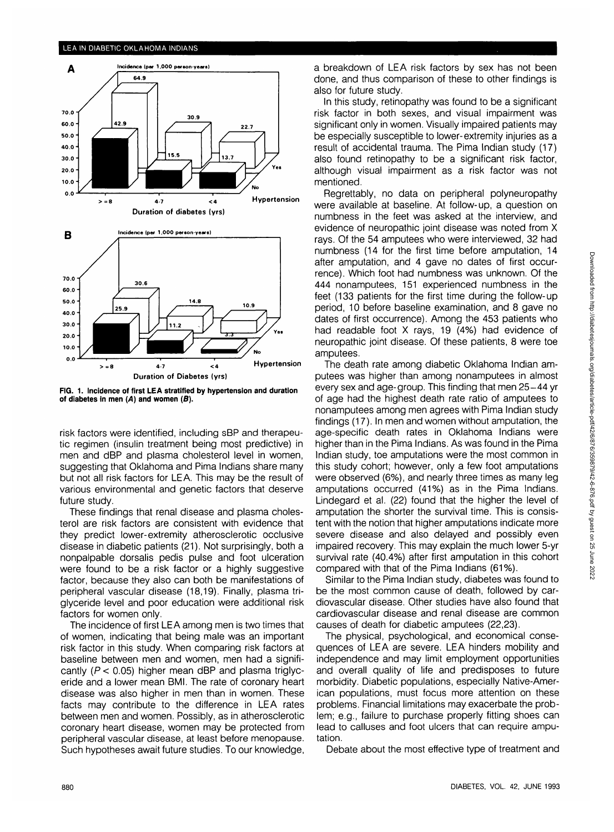

**FIG. 1. Incidence of first LEA stratified by hypertension and duration of diabetes in men (A) and women (B).**

risk factors were identified, including sBP and therapeutic regimen (insulin treatment being most predictive) in men and dBP and plasma cholesterol level in women, suggesting that Oklahoma and Pima Indians share many but not all risk factors for LEA. This may be the result of various environmental and genetic factors that deserve future study.

These findings that renal disease and plasma cholesterol are risk factors are consistent with evidence that they predict lower-extremity atherosclerotic occlusive disease in diabetic patients (21). Not surprisingly, both a nonpalpable dorsalis pedis pulse and foot ulceration were found to be a risk factor or a highly suggestive factor, because they also can both be manifestations of peripheral vascular disease (18,19). Finally, plasma triglyceride level and poor education were additional risk factors for women only.

The incidence of first LEA among men is two times that of women, indicating that being male was an important risk factor in this study. When comparing risk factors at baseline between men and women, men had a significantly ( $P < 0.05$ ) higher mean dBP and plasma triglyceride and a lower mean BMI. The rate of coronary heart disease was also higher in men than in women. These facts may contribute to the difference in LEA rates between men and women. Possibly, as in atherosclerotic coronary heart disease, women may be protected from peripheral vascular disease, at least before menopause. Such hypotheses await future studies. To our knowledge,

a breakdown of LEA risk factors by sex has not been done, and thus comparison of these to other findings is also for future study.

In this study, retinopathy was found to be a significant risk factor in both sexes, and visual impairment was significant only in women. Visually impaired patients may be especially susceptible to lower-extremity injuries as a result of accidental trauma. The Pima Indian study (17) also found retinopathy to be a significant risk factor, although visual impairment as a risk factor was not mentioned.

Regrettably, no data on peripheral polyneuropathy were available at baseline. At follow-up, a question on numbness in the feet was asked at the interview, and evidence of neuropathic joint disease was noted from X rays. Of the 54 amputees who were interviewed, 32 had numbness (14 for the first time before amputation, 14 after amputation, and 4 gave no dates of first occurrence). Which foot had numbness was unknown. Of the 444 nonamputees, 151 experienced numbness in the feet (133 patients for the first time during the follow-up period, 10 before baseline examination, and 8 gave no dates of first occurrence). Among the 453 patients who had readable foot X rays, 19 (4%) had evidence of neuropathic joint disease. Of these patients, 8 were toe amputees.

The death rate among diabetic Oklahoma Indian amputees was higher than among nonamputees in almost every sex and age-group. This finding that men 25-44 yr of age had the highest death rate ratio of amputees to nonamputees among men agrees with Pima Indian study findings (17). In men and women without amputation, the age-specific death rates in Oklahoma Indians were higher than in the Pima Indians. As was found in the Pima Indian study, toe amputations were the most common in this study cohort; however, only a few foot amputations were observed (6%), and nearly three times as many leg amputations occurred (41%) as in the Pima Indians. Lindegard et al. (22) found that the higher the level of amputation the shorter the survival time. This is consistent with the notion that higher amputations indicate more severe disease and also delayed and possibly even impaired recovery. This may explain the much lower 5-yr survival rate (40.4%) after first amputation in this cohort compared with that of the Pima Indians (61%).

Similar to the Pima Indian study, diabetes was found to be the most common cause of death, followed by cardiovascular disease. Other studies have also found that cardiovascular disease and renal disease are common causes of death for diabetic amputees (22,23).

The physical, psychological, and economical consequences of LEA are severe. LEA hinders mobility and independence and may limit employment opportunities and overall quality of life and predisposes to future morbidity. Diabetic populations, especially Native-American populations, must focus more attention on these problems. Financial limitations may exacerbate the problem; e.g., failure to purchase properly fitting shoes can lead to calluses and foot ulcers that can require amputation.

Debate about the most effective type of treatment and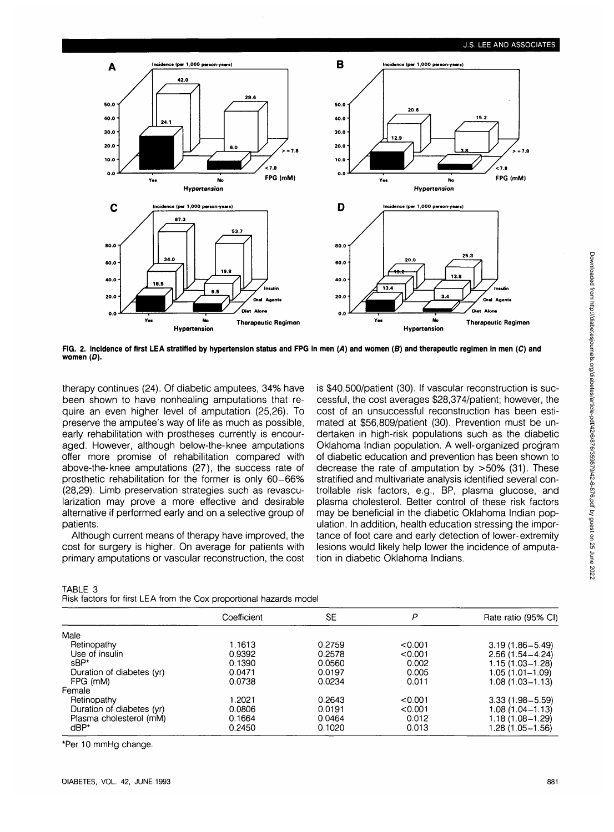

**FIG. 2. Incidence of first LEA stratified by hypertension status and FPG in men (A) and women (B) and therapeutic regimen in men (C) and women (D).**

therapy continues (24). Of diabetic amputees, 34% have been shown to have nonhealing amputations that require an even higher level of amputation (25,26). To preserve the amputee's way of life as much as possible, early rehabilitation with prostheses currently is encouraged. However, although below-the-knee amputations offer more promise of rehabilitation compared with above-the-knee amputations (27), the success rate of prosthetic rehabilitation for the former is only 60-66% (28,29). Limb preservation strategies such as revascularization may prove a more effective and desirable alternative if performed early and on a selective group of patients.

Although current means of therapy have improved, the cost for surgery is higher. On average for patients with primary amputations or vascular reconstruction, the cost is \$40,500/patient (30). If vascular reconstruction is successful, the cost averages \$28,374/patient; however, the cost of an unsuccessful reconstruction has been estimated at \$56,809/patient (30). Prevention must be undertaken in high-risk populations such as the diabetic Oklahoma Indian population. A well-organized program of diabetic education and prevention has been shown to decrease the rate of amputation by >50% (31). These stratified and multivariate analysis identified several controllable risk factors, e.g., BP, plasma glucose, and plasma cholesterol. Better control of these risk factors may be beneficial in the diabetic Oklahoma Indian population. In addition, health education stressing the importance of foot care and early detection of lower-extremity lesions would likely help lower the incidence of amputation in diabetic Oklahoma Indians.

#### TABLE 3

|  |  |  |  | Risk factors for first LEA from the Cox proportional hazards model |  |  |
|--|--|--|--|--------------------------------------------------------------------|--|--|
|--|--|--|--|--------------------------------------------------------------------|--|--|

|                           | Coefficient | <b>SE</b> | P       | Rate ratio (95% CI) |
|---------------------------|-------------|-----------|---------|---------------------|
| Male                      |             |           |         |                     |
| Retinopathy               | 1.1613      | 0.2759    | < 0.001 | $3.19(1.86 - 5.49)$ |
| Use of insulin            | 0.9392      | 0.2578    | < 0.001 | $2.56(1.54 - 4.24)$ |
| sBP*                      | 0.1390      | 0.0560    | 0.002   | 1.15 (1.03–1.28)    |
| Duration of diabetes (yr) | 0.0471      | 0.0197    | 0.005   | 1.05 (1.01–1.09)    |
| FPG (mM)                  | 0.0738      | 0.0234    | 0.011   | 1.08 (1.03–1.13)    |
| Female                    |             |           |         |                     |
| Retinopathy               | 1.2021      | 0.2643    | < 0.001 | $3.33(1.98 - 5.59)$ |
| Duration of diabetes (yr) | 0.0806      | 0.0191    | < 0.001 | $1.08(1.04 - 1.13)$ |
| Plasma cholesterol (mM)   | 0.1664      | 0.0464    | 0.012   | 1.18 (1.08-1.29)    |
| $dBP*$                    | 0.2450      | 0.1020    | 0.013   | 1.28 (1.05–1.56)    |

\*Per 10 mmHg change.